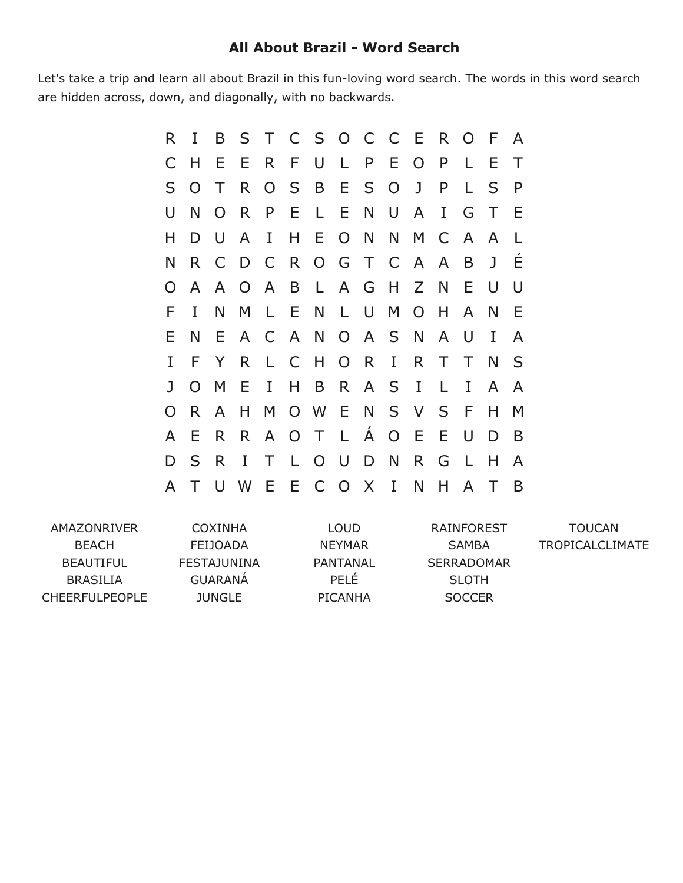## **All About Brazil Word Search**

Let's take a trip and learn all about Brazil in this fun-loving word search. The words in this word search are hidden across, down, and diagonally, with no backwards.

| R.           | I              | B              | S               |              |              | T C S O C C E R O |                |       |                |                |              |         | - F          | $\mathsf{A}$ |
|--------------|----------------|----------------|-----------------|--------------|--------------|-------------------|----------------|-------|----------------|----------------|--------------|---------|--------------|--------------|
| C            | H              | E              | E               |              | R F          | U L               |                |       | P E            | $\overline{O}$ | $\mathsf{P}$ | L       | E            | Τ            |
| S            | $\Omega$       | $\top$         | R.              |              | O S          | B E S O           |                |       |                | J              | $\mathsf{P}$ | L       | S            | P            |
| U            | N              | $\overline{O}$ | R.              | P.           | $E \quad L$  |                   | E N            |       | $\cup$         | A              | $\mathbf{I}$ | G       | Τ            | Ε            |
| Н            | D              | $\cup$         | A               | I            | H            |                   | E O N          |       | N              | M              | $\mathsf{C}$ | A       | A            |              |
| N            | R.             | C              | D C R O G T C A |              |              |                   |                |       |                |                | $\mathsf{A}$ | B       | $\mathbf{J}$ | É            |
|              | A              | $\mathsf{A}$   | $\overline{O}$  | $\mathsf{A}$ |              | B L               |                | A G H |                | Z N            |              | Е       | U            | U            |
| F            | I              | N              | M               | $\mathsf{L}$ | E.           | N                 | L U            |       | M              | $\overline{O}$ | H            | A       | N            | Е            |
| Е            | N              | Е.             |                 |              |              | A C A N           |                |       | O A S N        |                | A            | U       | I            | A            |
| T            | F              | Y              | R               | L.           | $\mathsf{C}$ | H                 | O <sub>R</sub> |       | $\mathbf{I}$   | R.             | $\top$       | Τ       | N            | S            |
| $\mathbf{I}$ | $\overline{O}$ | M              | Ε               | I            | H.           | B                 |                |       | R A S I        |                | L.           | I       | A            | A            |
| O            | R.             | A              | H               | M            |              | O W E N           |                |       | S V            |                | S.           | - F     | Н            | M            |
| A            | E              | R.             | R.              | $\mathsf{A}$ | O T          |                   | $\mathsf{L}$   | Á     | $\overline{O}$ | E.             | E            | $\cup$  | D            | B            |
| D            | S              | R              | $\mathbf I$     | T            | $\mathsf{L}$ | $O$ $U$           |                | D     | N              | R.             | G            | $\perp$ | н            | A            |
| A            |                | U              | W               | E            |              | E C O             |                | X     | $\bf{I}$       | N              | H            | A       |              | B            |

| COXINHA         | LOUD          | RAINFOREST        | TOUCAN                 |
|-----------------|---------------|-------------------|------------------------|
| <b>FEIJOADA</b> | <b>NEYMAR</b> | SAMBA             | <b>TROPICALCLIMATE</b> |
| FESTAJUNINA     | PANTANAL      | <b>SERRADOMAR</b> |                        |
| <b>GUARANA</b>  | PFI F         | <b>SLOTH</b>      |                        |
| <b>JUNGLE</b>   | PICANHA       | <b>SOCCER</b>     |                        |
|                 |               |                   |                        |